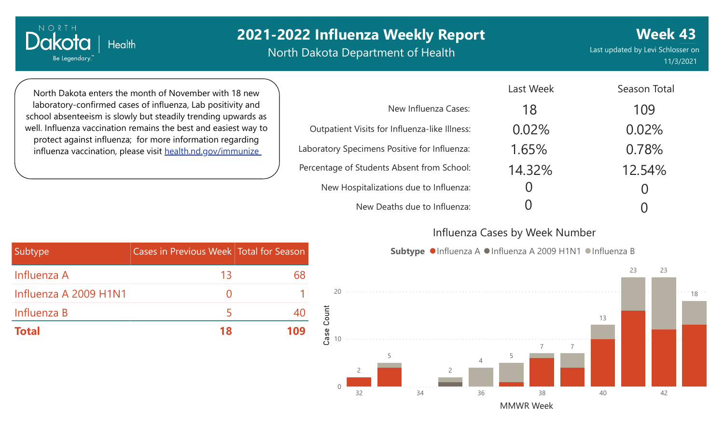North Dakota Department of Health

**Week 43** Last updated by Levi Schlosser on 11/3/2021

North Dakota enters the month of November with 18 new laboratory-confirmed cases of influenza, Lab positivity and school absenteeism is slowly but steadily trending upwards as well. Influenza vaccination remains the best and easiest way to protect against influenza; for more information regarding influenza vaccination, please visit [health.nd.gov/immunize](http://health.nd.gov/immunize)

**Health** 

NORTH

Dakota

Be Legendary.

|                                               | Last Week | Season Total       |
|-----------------------------------------------|-----------|--------------------|
| New Influenza Cases:                          | 18        | 109                |
| Outpatient Visits for Influenza-like Illness: | 0.02%     | 0.02%              |
| Laboratory Specimens Positive for Influenza:  | 1.65%     | 0.78%              |
| Percentage of Students Absent from School:    | 14.32%    | 12.54%             |
| New Hospitalizations due to Influenza:        |           |                    |
| New Deaths due to Influenza:                  |           | $\left( \ \right)$ |

### Influenza Cases by Week Number

Last Weekly





| Subtype               | Cases in Previous Week Total for Season |     |
|-----------------------|-----------------------------------------|-----|
| Influenza A           | 13                                      | 68  |
| Influenza A 2009 H1N1 |                                         |     |
| Influenza B           | ь                                       | 40  |
| <b>Total</b>          | 18                                      | 109 |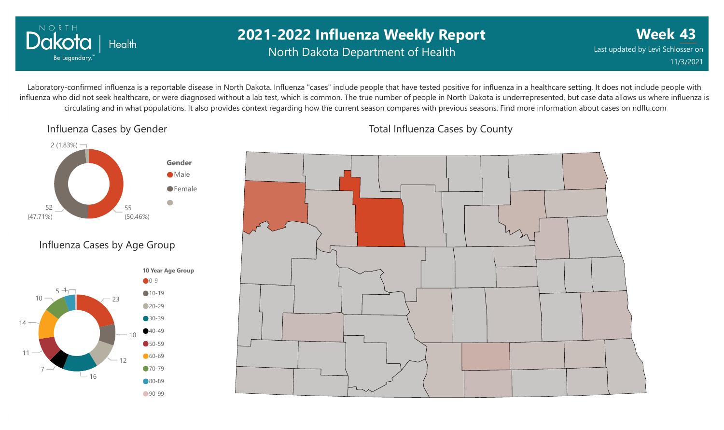

# **2021-2022 Influenza Weekly Report** North Dakota Department of Health

**Week 43** Last updated by Levi Schlosser on 11/3/2021

Laboratory-confirmed influenza is a reportable disease in North Dakota. Influenza "cases" include people that have tested positive for influenza in a healthcare setting. It does not include people with influenza who did not seek healthcare, or were diagnosed without a lab test, which is common. The true number of people in North Dakota is underrepresented, but case data allows us where influenza is circulating and in what populations. It also provides context regarding how the current season compares with previous seasons. Find more information about cases on ndflu.com

Influenza Cases by Gender



### Influenza Cases by Age Group



Total Influenza Cases by County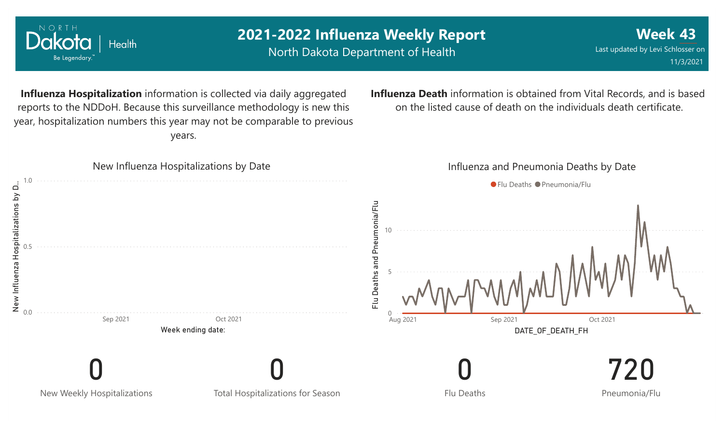

NORTH

**Week 43**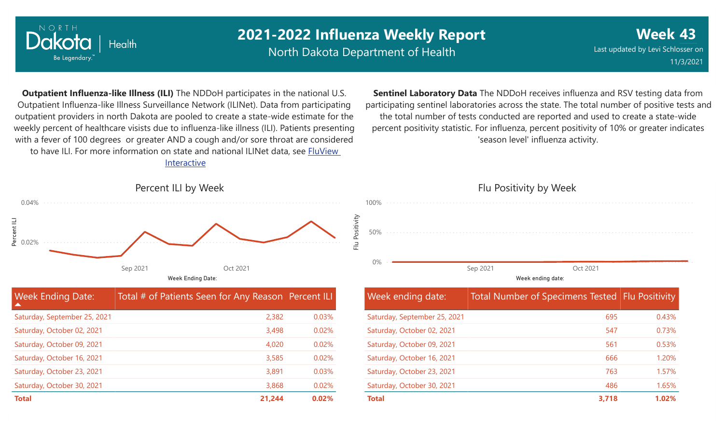

North Dakota Department of Health

Saturday, October 30, 2021

**Week 43** Last updated by Levi Schlosser on 11/3/2021

**Outpatient Influenza-like Illness (ILI)** The NDDoH participates in the national U.S. Outpatient Influenza-like Illness Surveillance Network (ILINet). Data from participating outpatient providers in north Dakota are pooled to create a state-wide estimate for the weekly percent of healthcare visists due to influenza-like illness (ILI). Patients presenting with a fever of 100 degrees or greater AND a cough and/or sore throat are considered to have ILI. For more information [on state and national ILINet data, see FluView](http://fluview%20interactive/) Interactive

**Sentinel Laboratory Data** The NDDoH receives influenza and RSV testing data from participating sentinel laboratories across the state. The total number of positive tests and the total number of tests conducted are reported and used to create a state-wide percent positivity statistic. For influenza, percent positivity of 10% or greater indicates 'season level' influenza activity.



| <b>Week Ending Date:</b><br>▲ | Total # of Patients Seen for Any Reason Percent ILI |       |
|-------------------------------|-----------------------------------------------------|-------|
| Saturday, September 25, 2021  | 2,382                                               | 0.03% |
| Saturday, October 02, 2021    | 3,498                                               | 0.02% |
| Saturday, October 09, 2021    | 4,020                                               | 0.02% |
| Saturday, October 16, 2021    | 3,585                                               | 0.02% |
| Saturday, October 23, 2021    | 3,891                                               | 0.03% |
| Saturday, October 30, 2021    | 3,868                                               | 0.02% |
| <b>Total</b>                  | 21,244                                              | 0.02% |

#### 0% 50% 100% Week ending date: Sep 2021 Oct 2021 Week ending date: Total Number of Specimens Tested Flu Positivity Saturday, September 25, 2021 Saturday, October 02, 2021 Saturday, October 09, 2021 Saturday, October 16, 2021 Saturday, October 23, 2021 695 547 561 666 763 0.43% 0.73% 0.53% 1.20% 1.57%

**Total 3,718 1.02%**

486

1.65%

Flu Positivity by Week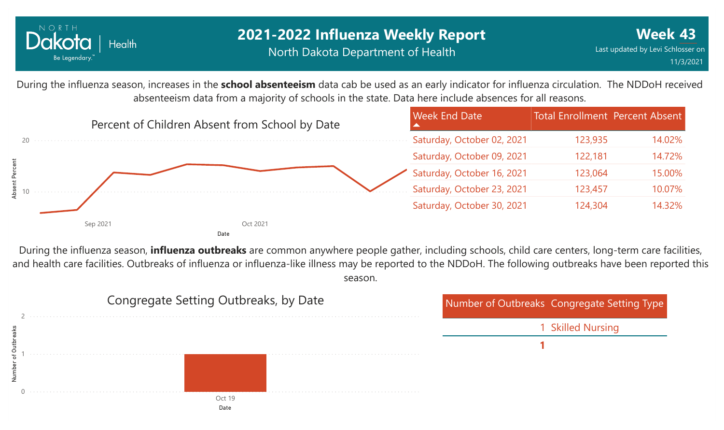

During the influenza season, increases in the **school absenteeism** data cab be used as an early indicator for influenza circulation. The NDDoH received absenteeism data from a majority of schools in the state. Data here include absences for all reasons.



During the influenza season, **influenza outbreaks** are common anywhere people gather, including schools, child care centers, long-term care facilities, and health care facilities. Outbreaks of influenza or influenza-like illness may be reported to the NDDoH. The following outbreaks have been reported this season.

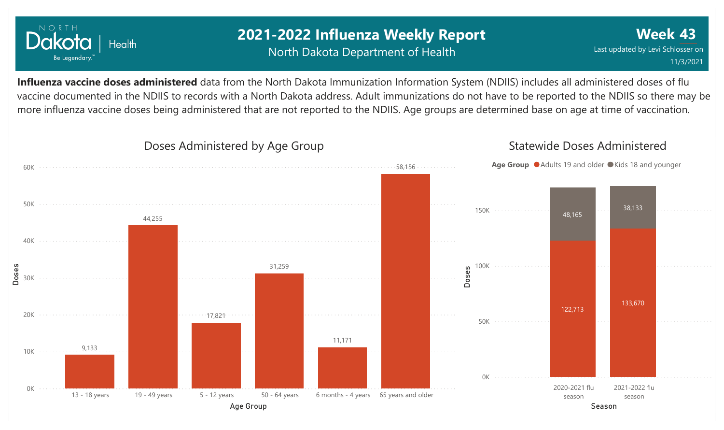

# **2021-2022 Influenza Weekly Report** North Dakota Department of Health

**Week 43** Last updated by Levi Schlosser on 11/3/2021

**Influenza vaccine doses administered** data from the North Dakota Immunization Information System (NDIIS) includes all administered doses of flu vaccine documented in the NDIIS to records with a North Dakota address. Adult immunizations do not have to be reported to the NDIIS so there may be more influenza vaccine doses being administered that are not reported to the NDIIS. Age groups are determined base on age at time of vaccination.

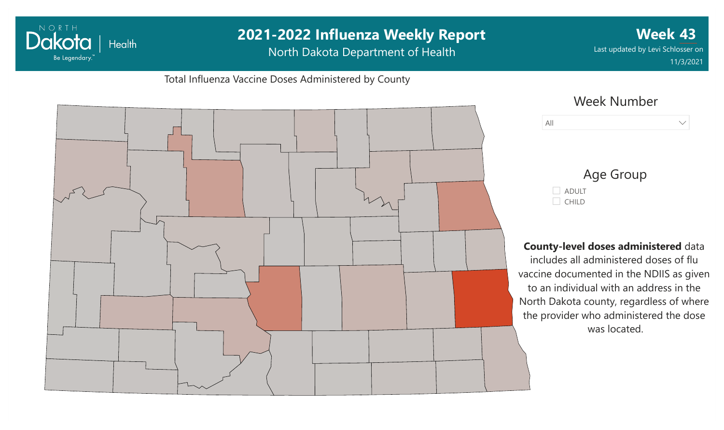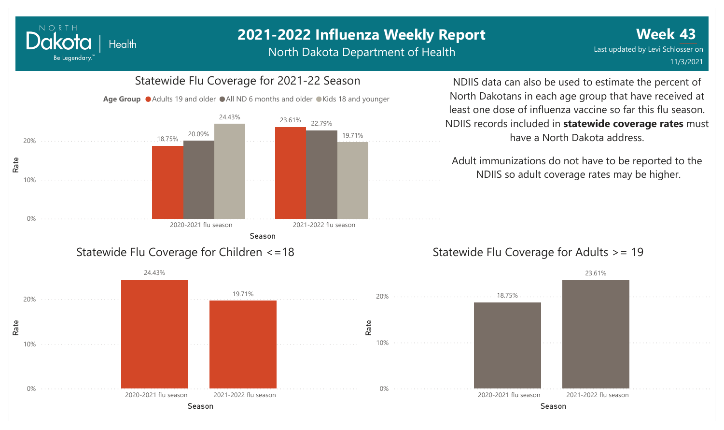North Dakota Department of Health



NORTH

Dakota

Be Legendary.

Health

NDIIS data can also be used to estimate the percent of North Dakotans in each age group that have received at least one dose of influenza vaccine so far this flu season. NDIIS records included in **statewide coverage rates** must have a North Dakota address.

Adult immunizations do not have to be reported to the NDIIS so adult coverage rates may be higher.

### Statewide Flu Coverage for Adults >= 19